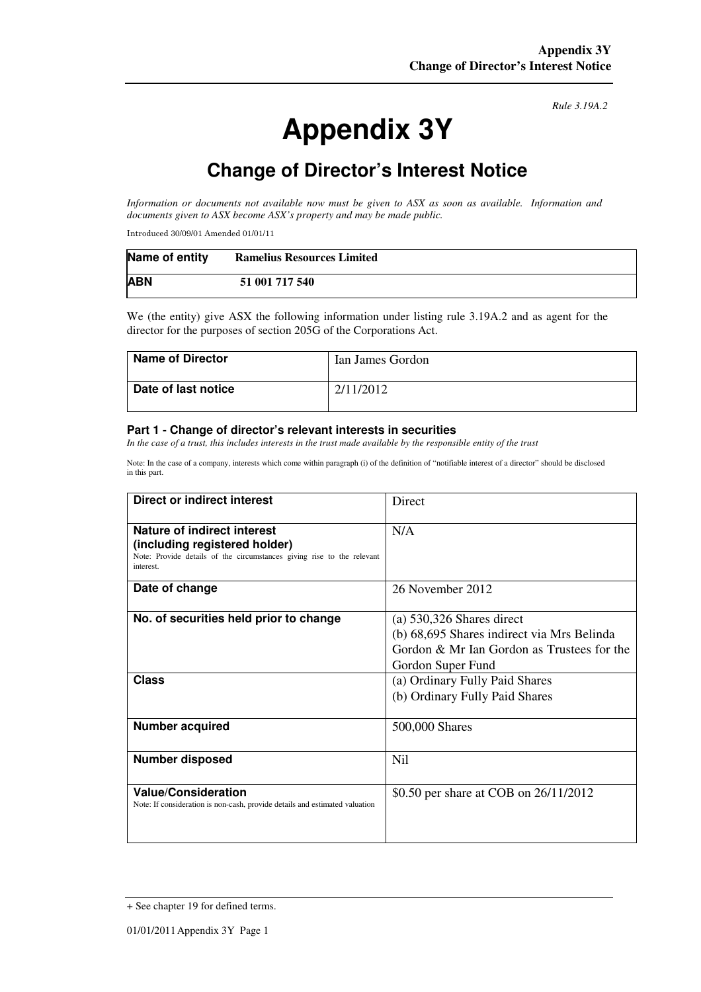# **Appendix 3Y**

*Rule 3.19A.2*

# **Change of Director's Interest Notice**

*Information or documents not available now must be given to ASX as soon as available. Information and documents given to ASX become ASX's property and may be made public.* 

Introduced 30/09/01 Amended 01/01/11

| Name of entity | <b>Ramelius Resources Limited</b> |
|----------------|-----------------------------------|
| <b>ABN</b>     | 51 001 717 540                    |

We (the entity) give ASX the following information under listing rule 3.19A.2 and as agent for the director for the purposes of section 205G of the Corporations Act.

| <b>Name of Director</b> | Ian James Gordon |
|-------------------------|------------------|
| Date of last notice     | 2/11/2012        |

#### **Part 1 - Change of director's relevant interests in securities**

*In the case of a trust, this includes interests in the trust made available by the responsible entity of the trust* 

Note: In the case of a company, interests which come within paragraph (i) of the definition of "notifiable interest of a director" should be disclosed in this part.

| <b>Direct or indirect interest</b>                                                                                                                  | Direct                                                                                                                                       |  |
|-----------------------------------------------------------------------------------------------------------------------------------------------------|----------------------------------------------------------------------------------------------------------------------------------------------|--|
| Nature of indirect interest<br>(including registered holder)<br>Note: Provide details of the circumstances giving rise to the relevant<br>interest. | N/A                                                                                                                                          |  |
| Date of change                                                                                                                                      | 26 November 2012                                                                                                                             |  |
| No. of securities held prior to change                                                                                                              | (a) $530,326$ Shares direct<br>(b) 68,695 Shares indirect via Mrs Belinda<br>Gordon & Mr Ian Gordon as Trustees for the<br>Gordon Super Fund |  |
| Class                                                                                                                                               | (a) Ordinary Fully Paid Shares<br>(b) Ordinary Fully Paid Shares                                                                             |  |
| Number acquired                                                                                                                                     | 500,000 Shares                                                                                                                               |  |
| <b>Number disposed</b>                                                                                                                              | Nil                                                                                                                                          |  |
| <b>Value/Consideration</b><br>Note: If consideration is non-cash, provide details and estimated valuation                                           | \$0.50 per share at COB on 26/11/2012                                                                                                        |  |

<sup>+</sup> See chapter 19 for defined terms.